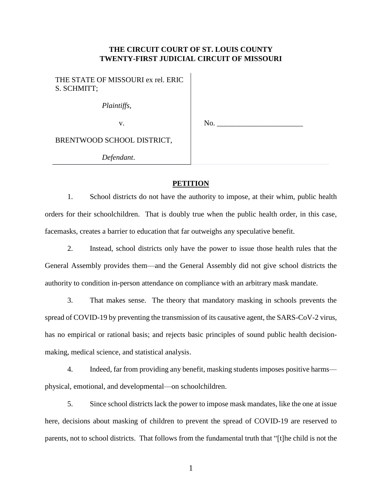## **THE CIRCUIT COURT OF ST. LOUIS COUNTY TWENTY-FIRST JUDICIAL CIRCUIT OF MISSOURI**

THE STATE OF MISSOURI ex rel. ERIC S. SCHMITT;

*Plaintiffs*,

v.

No.

BRENTWOOD SCHOOL DISTRICT,

*Defendant*.

## **PETITION**

1. School districts do not have the authority to impose, at their whim, public health orders for their schoolchildren. That is doubly true when the public health order, in this case, facemasks, creates a barrier to education that far outweighs any speculative benefit.

2. Instead, school districts only have the power to issue those health rules that the General Assembly provides them—and the General Assembly did not give school districts the authority to condition in-person attendance on compliance with an arbitrary mask mandate.

3. That makes sense. The theory that mandatory masking in schools prevents the spread of COVID-19 by preventing the transmission of its causative agent, the SARS-CoV-2 virus, has no empirical or rational basis; and rejects basic principles of sound public health decisionmaking, medical science, and statistical analysis.

4. Indeed, far from providing any benefit, masking students imposes positive harms physical, emotional, and developmental—on schoolchildren.

5. Since school districts lack the power to impose mask mandates, like the one at issue here, decisions about masking of children to prevent the spread of COVID-19 are reserved to parents, not to school districts. That follows from the fundamental truth that "[t]he child is not the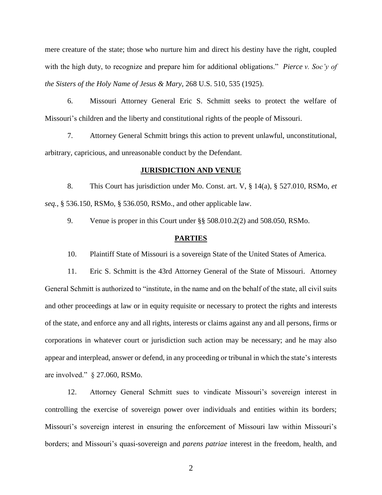mere creature of the state; those who nurture him and direct his destiny have the right, coupled with the high duty, to recognize and prepare him for additional obligations." *Pierce v. Soc'y of the Sisters of the Holy Name of Jesus & Mary*, 268 U.S. 510, 535 (1925).

6. Missouri Attorney General Eric S. Schmitt seeks to protect the welfare of Missouri's children and the liberty and constitutional rights of the people of Missouri.

7. Attorney General Schmitt brings this action to prevent unlawful, unconstitutional, arbitrary, capricious, and unreasonable conduct by the Defendant.

#### **JURISDICTION AND VENUE**

8. This Court has jurisdiction under Mo. Const. art. V, § 14(a), § 527.010, RSMo, *et seq.*, § 536.150, RSMo, § 536.050, RSMo., and other applicable law.

9. Venue is proper in this Court under §§ 508.010.2(2) and 508.050, RSMo.

#### **PARTIES**

10. Plaintiff State of Missouri is a sovereign State of the United States of America.

11. Eric S. Schmitt is the 43rd Attorney General of the State of Missouri. Attorney General Schmitt is authorized to "institute, in the name and on the behalf of the state, all civil suits and other proceedings at law or in equity requisite or necessary to protect the rights and interests of the state, and enforce any and all rights, interests or claims against any and all persons, firms or corporations in whatever court or jurisdiction such action may be necessary; and he may also appear and interplead, answer or defend, in any proceeding or tribunal in which the state's interests are involved." § 27.060, RSMo.

12. Attorney General Schmitt sues to vindicate Missouri's sovereign interest in controlling the exercise of sovereign power over individuals and entities within its borders; Missouri's sovereign interest in ensuring the enforcement of Missouri law within Missouri's borders; and Missouri's quasi-sovereign and *parens patriae* interest in the freedom, health, and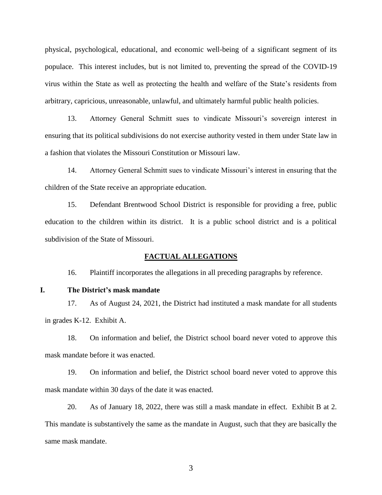physical, psychological, educational, and economic well-being of a significant segment of its populace. This interest includes, but is not limited to, preventing the spread of the COVID-19 virus within the State as well as protecting the health and welfare of the State's residents from arbitrary, capricious, unreasonable, unlawful, and ultimately harmful public health policies.

13. Attorney General Schmitt sues to vindicate Missouri's sovereign interest in ensuring that its political subdivisions do not exercise authority vested in them under State law in a fashion that violates the Missouri Constitution or Missouri law.

14. Attorney General Schmitt sues to vindicate Missouri's interest in ensuring that the children of the State receive an appropriate education.

15. Defendant Brentwood School District is responsible for providing a free, public education to the children within its district. It is a public school district and is a political subdivision of the State of Missouri.

#### **FACTUAL ALLEGATIONS**

16. Plaintiff incorporates the allegations in all preceding paragraphs by reference.

### **I. The District's mask mandate**

17. As of August 24, 2021, the District had instituted a mask mandate for all students in grades K-12. Exhibit A.

18. On information and belief, the District school board never voted to approve this mask mandate before it was enacted.

19. On information and belief, the District school board never voted to approve this mask mandate within 30 days of the date it was enacted.

20. As of January 18, 2022, there was still a mask mandate in effect. Exhibit B at 2. This mandate is substantively the same as the mandate in August, such that they are basically the same mask mandate.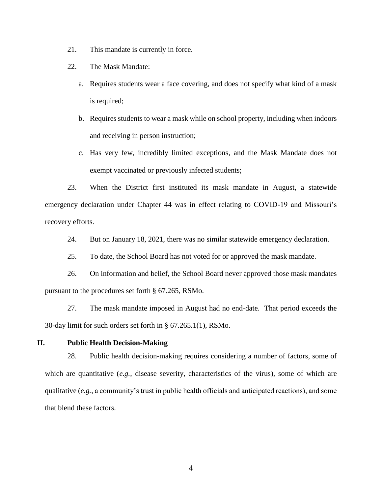- 21. This mandate is currently in force.
- 22. The Mask Mandate:
	- a. Requires students wear a face covering, and does not specify what kind of a mask is required;
	- b. Requires students to wear a mask while on school property, including when indoors and receiving in person instruction;
	- c. Has very few, incredibly limited exceptions, and the Mask Mandate does not exempt vaccinated or previously infected students;

23. When the District first instituted its mask mandate in August, a statewide emergency declaration under Chapter 44 was in effect relating to COVID-19 and Missouri's recovery efforts.

- 24. But on January 18, 2021, there was no similar statewide emergency declaration.
- 25. To date, the School Board has not voted for or approved the mask mandate.

26. On information and belief, the School Board never approved those mask mandates pursuant to the procedures set forth § 67.265, RSMo.

27. The mask mandate imposed in August had no end-date. That period exceeds the 30-day limit for such orders set forth in § 67.265.1(1), RSMo.

# **II. Public Health Decision-Making**

28. Public health decision-making requires considering a number of factors, some of which are quantitative (*e.g.*, disease severity, characteristics of the virus), some of which are qualitative (*e.g.*, a community's trust in public health officials and anticipated reactions), and some that blend these factors.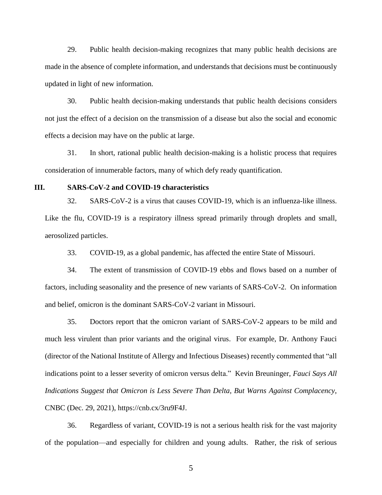29. Public health decision-making recognizes that many public health decisions are made in the absence of complete information, and understands that decisions must be continuously updated in light of new information.

30. Public health decision-making understands that public health decisions considers not just the effect of a decision on the transmission of a disease but also the social and economic effects a decision may have on the public at large.

31. In short, rational public health decision-making is a holistic process that requires consideration of innumerable factors, many of which defy ready quantification.

### **III. SARS-CoV-2 and COVID-19 characteristics**

32. SARS-CoV-2 is a virus that causes COVID-19, which is an influenza-like illness. Like the flu, COVID-19 is a respiratory illness spread primarily through droplets and small, aerosolized particles.

33. COVID-19, as a global pandemic, has affected the entire State of Missouri.

34. The extent of transmission of COVID-19 ebbs and flows based on a number of factors, including seasonality and the presence of new variants of SARS-CoV-2. On information and belief, omicron is the dominant SARS-CoV-2 variant in Missouri.

35. Doctors report that the omicron variant of SARS-CoV-2 appears to be mild and much less virulent than prior variants and the original virus. For example, Dr. Anthony Fauci (director of the National Institute of Allergy and Infectious Diseases) recently commented that "all indications point to a lesser severity of omicron versus delta." Kevin Breuninger, *Fauci Says All Indications Suggest that Omicron is Less Severe Than Delta, But Warns Against Complacency*, CNBC (Dec. 29, 2021), https://cnb.cx/3ru9F4J.

36. Regardless of variant, COVID-19 is not a serious health risk for the vast majority of the population—and especially for children and young adults. Rather, the risk of serious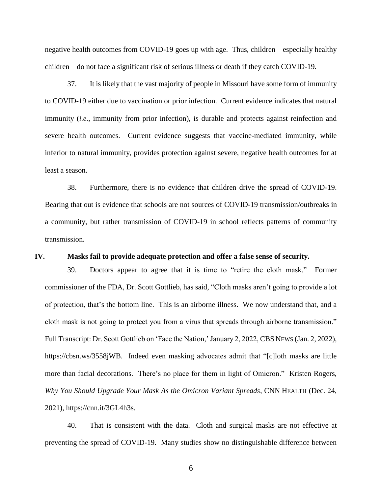negative health outcomes from COVID-19 goes up with age. Thus, children—especially healthy children—do not face a significant risk of serious illness or death if they catch COVID-19.

37. It is likely that the vast majority of people in Missouri have some form of immunity to COVID-19 either due to vaccination or prior infection. Current evidence indicates that natural immunity (*i.e.*, immunity from prior infection), is durable and protects against reinfection and severe health outcomes. Current evidence suggests that vaccine-mediated immunity, while inferior to natural immunity, provides protection against severe, negative health outcomes for at least a season.

38. Furthermore, there is no evidence that children drive the spread of COVID-19. Bearing that out is evidence that schools are not sources of COVID-19 transmission/outbreaks in a community, but rather transmission of COVID-19 in school reflects patterns of community transmission.

#### **IV. Masks fail to provide adequate protection and offer a false sense of security.**

39. Doctors appear to agree that it is time to "retire the cloth mask." Former commissioner of the FDA, Dr. Scott Gottlieb, has said, "Cloth masks aren't going to provide a lot of protection, that's the bottom line. This is an airborne illness. We now understand that, and a cloth mask is not going to protect you from a virus that spreads through airborne transmission." Full Transcript: Dr. Scott Gottlieb on 'Face the Nation,' January 2, 2022, CBS NEWS (Jan. 2, 2022), https://cbsn.ws/3558jWB. Indeed even masking advocates admit that "[c]loth masks are little more than facial decorations. There's no place for them in light of Omicron." Kristen Rogers, *Why You Should Upgrade Your Mask As the Omicron Variant Spreads*, CNN HEALTH (Dec. 24, 2021), https://cnn.it/3GL4h3s.

40. That is consistent with the data. Cloth and surgical masks are not effective at preventing the spread of COVID-19. Many studies show no distinguishable difference between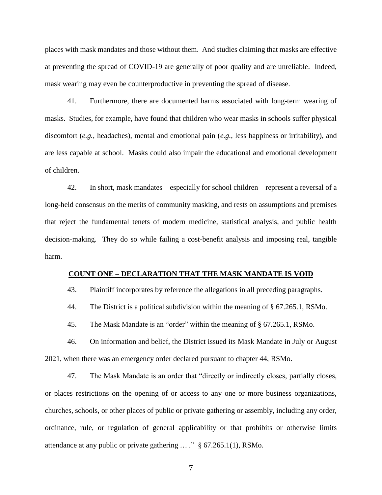places with mask mandates and those without them. And studies claiming that masks are effective at preventing the spread of COVID-19 are generally of poor quality and are unreliable. Indeed, mask wearing may even be counterproductive in preventing the spread of disease.

41. Furthermore, there are documented harms associated with long-term wearing of masks. Studies, for example, have found that children who wear masks in schools suffer physical discomfort (*e.g.*, headaches), mental and emotional pain (*e.g.*, less happiness or irritability), and are less capable at school. Masks could also impair the educational and emotional development of children.

42. In short, mask mandates—especially for school children—represent a reversal of a long-held consensus on the merits of community masking, and rests on assumptions and premises that reject the fundamental tenets of modern medicine, statistical analysis, and public health decision-making. They do so while failing a cost-benefit analysis and imposing real, tangible harm.

### **COUNT ONE – DECLARATION THAT THE MASK MANDATE IS VOID**

43. Plaintiff incorporates by reference the allegations in all preceding paragraphs.

44. The District is a political subdivision within the meaning of § 67.265.1, RSMo.

45. The Mask Mandate is an "order" within the meaning of § 67.265.1, RSMo.

46. On information and belief, the District issued its Mask Mandate in July or August 2021, when there was an emergency order declared pursuant to chapter 44, RSMo.

47. The Mask Mandate is an order that "directly or indirectly closes, partially closes, or places restrictions on the opening of or access to any one or more business organizations, churches, schools, or other places of public or private gathering or assembly, including any order, ordinance, rule, or regulation of general applicability or that prohibits or otherwise limits attendance at any public or private gathering ... ." § 67.265.1(1), RSMo.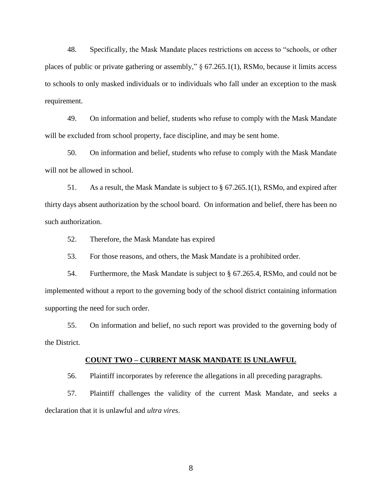48. Specifically, the Mask Mandate places restrictions on access to "schools, or other places of public or private gathering or assembly," § 67.265.1(1), RSMo, because it limits access to schools to only masked individuals or to individuals who fall under an exception to the mask requirement.

49. On information and belief, students who refuse to comply with the Mask Mandate will be excluded from school property, face discipline, and may be sent home.

50. On information and belief, students who refuse to comply with the Mask Mandate will not be allowed in school.

51. As a result, the Mask Mandate is subject to § 67.265.1(1), RSMo, and expired after thirty days absent authorization by the school board. On information and belief, there has been no such authorization.

52. Therefore, the Mask Mandate has expired

53. For those reasons, and others, the Mask Mandate is a prohibited order.

54. Furthermore, the Mask Mandate is subject to § 67.265.4, RSMo, and could not be implemented without a report to the governing body of the school district containing information supporting the need for such order.

55. On information and belief, no such report was provided to the governing body of the District.

### **COUNT TWO – CURRENT MASK MANDATE IS UNLAWFUL**

56. Plaintiff incorporates by reference the allegations in all preceding paragraphs.

57. Plaintiff challenges the validity of the current Mask Mandate, and seeks a declaration that it is unlawful and *ultra vires*.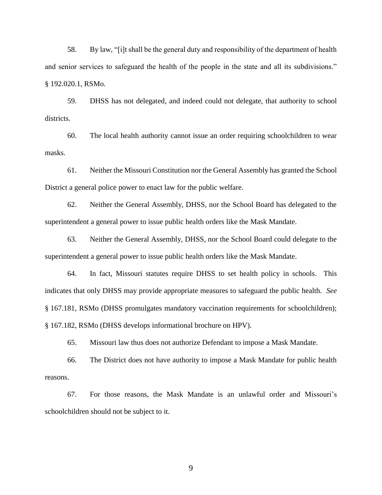58. By law, "[i]t shall be the general duty and responsibility of the department of health and senior services to safeguard the health of the people in the state and all its subdivisions." § 192.020.1, RSMo.

59. DHSS has not delegated, and indeed could not delegate, that authority to school districts.

60. The local health authority cannot issue an order requiring schoolchildren to wear masks.

61. Neither the Missouri Constitution nor the General Assembly has granted the School District a general police power to enact law for the public welfare.

62. Neither the General Assembly, DHSS, nor the School Board has delegated to the superintendent a general power to issue public health orders like the Mask Mandate.

63. Neither the General Assembly, DHSS, nor the School Board could delegate to the superintendent a general power to issue public health orders like the Mask Mandate.

64. In fact, Missouri statutes require DHSS to set health policy in schools. This indicates that only DHSS may provide appropriate measures to safeguard the public health. *See*  § 167.181, RSMo (DHSS promulgates mandatory vaccination requirements for schoolchildren); § 167.182, RSMo (DHSS develops informational brochure on HPV).

65. Missouri law thus does not authorize Defendant to impose a Mask Mandate.

66. The District does not have authority to impose a Mask Mandate for public health reasons.

67. For those reasons, the Mask Mandate is an unlawful order and Missouri's schoolchildren should not be subject to it.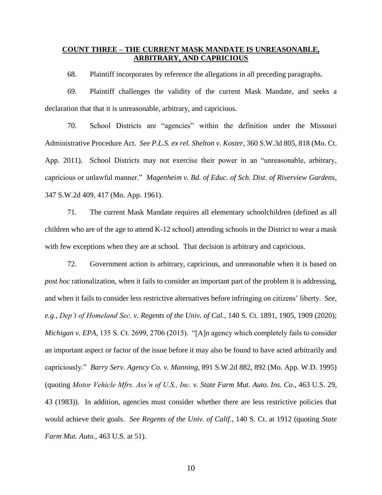### **COUNT THREE – THE CURRENT MASK MANDATE IS UNREASONABLE, ARBITRARY, AND CAPRICIOUS**

68. Plaintiff incorporates by reference the allegations in all preceding paragraphs.

69. Plaintiff challenges the validity of the current Mask Mandate, and seeks a declaration that that it is unreasonable, arbitrary, and capricious.

70. School Districts are "agencies" within the definition under the Missouri Administrative Procedure Act. *See P.L.S. ex rel. Shelton v. Koster*, 360 S.W.3d 805, 818 (Mo. Ct. App. 2011). School Districts may not exercise their power in an "unreasonable, arbitrary, capricious or unlawful manner." *Magenheim v. Bd. of Educ. of Sch. Dist. of Riverview Gardens*, 347 S.W.2d 409, 417 (Mo. App. 1961).

71. The current Mask Mandate requires all elementary schoolchildren (defined as all children who are of the age to attend K-12 school) attending schools in the District to wear a mask with few exceptions when they are at school. That decision is arbitrary and capricious.

72. Government action is arbitrary, capricious, and unreasonable when it is based on *post hoc* rationalization, when it fails to consider an important part of the problem it is addressing, and when it fails to consider less restrictive alternatives before infringing on citizens' liberty. *See*, *e.g.*, *Dep't of Homeland Sec. v. Regents of the Univ. of Cal.*, 140 S. Ct. 1891, 1905, 1909 (2020); *Michigan v. EPA*, 135 S. Ct. 2699, 2706 (2015). "[A]n agency which completely fails to consider an important aspect or factor of the issue before it may also be found to have acted arbitrarily and capriciously." *Barry Serv. Agency Co. v. Manning*, 891 S.W.2d 882, 892 (Mo. App. W.D. 1995) (quoting *Motor Vehicle Mfrs. Ass'n of U.S., Inc. v. State Farm Mut. Auto. Ins. Co*., 463 U.S. 29, 43 (1983)). In addition, agencies must consider whether there are less restrictive policies that would achieve their goals. *See Regents of the Univ. of Calif.*, 140 S. Ct. at 1912 (quoting *State Farm Mut. Auto.*, 463 U.S. at 51).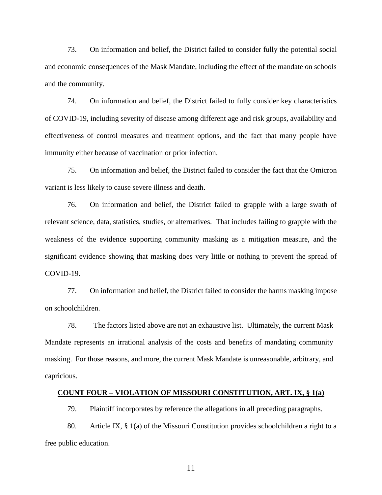73. On information and belief, the District failed to consider fully the potential social and economic consequences of the Mask Mandate, including the effect of the mandate on schools and the community.

74. On information and belief, the District failed to fully consider key characteristics of COVID-19, including severity of disease among different age and risk groups, availability and effectiveness of control measures and treatment options, and the fact that many people have immunity either because of vaccination or prior infection.

75. On information and belief, the District failed to consider the fact that the Omicron variant is less likely to cause severe illness and death.

76. On information and belief, the District failed to grapple with a large swath of relevant science, data, statistics, studies, or alternatives. That includes failing to grapple with the weakness of the evidence supporting community masking as a mitigation measure, and the significant evidence showing that masking does very little or nothing to prevent the spread of COVID-19.

77. On information and belief, the District failed to consider the harms masking impose on schoolchildren.

78. The factors listed above are not an exhaustive list. Ultimately, the current Mask Mandate represents an irrational analysis of the costs and benefits of mandating community masking. For those reasons, and more, the current Mask Mandate is unreasonable, arbitrary, and capricious.

#### **COUNT FOUR – VIOLATION OF MISSOURI CONSTITUTION, ART. IX, § 1(a)**

79. Plaintiff incorporates by reference the allegations in all preceding paragraphs.

80. Article IX, § 1(a) of the Missouri Constitution provides schoolchildren a right to a free public education.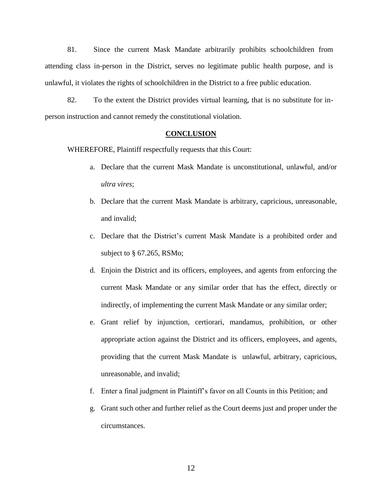81. Since the current Mask Mandate arbitrarily prohibits schoolchildren from attending class in-person in the District, serves no legitimate public health purpose, and is unlawful, it violates the rights of schoolchildren in the District to a free public education.

82. To the extent the District provides virtual learning, that is no substitute for inperson instruction and cannot remedy the constitutional violation.

### **CONCLUSION**

WHEREFORE, Plaintiff respectfully requests that this Court:

- a. Declare that the current Mask Mandate is unconstitutional, unlawful, and/or *ultra vires*;
- b. Declare that the current Mask Mandate is arbitrary, capricious, unreasonable, and invalid;
- c. Declare that the District's current Mask Mandate is a prohibited order and subject to § 67.265, RSMo;
- d. Enjoin the District and its officers, employees, and agents from enforcing the current Mask Mandate or any similar order that has the effect, directly or indirectly, of implementing the current Mask Mandate or any similar order;
- e. Grant relief by injunction, certiorari, mandamus, prohibition, or other appropriate action against the District and its officers, employees, and agents, providing that the current Mask Mandate is unlawful, arbitrary, capricious, unreasonable, and invalid;
- f. Enter a final judgment in Plaintiff's favor on all Counts in this Petition; and
- g. Grant such other and further relief as the Court deems just and proper under the circumstances.